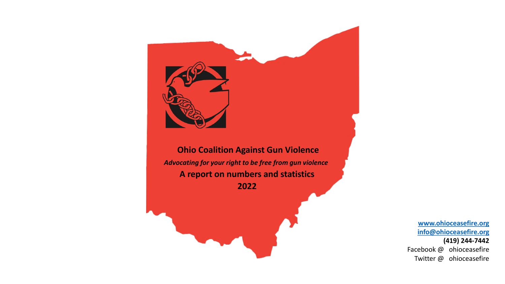

**Ohio Coalition Against Gun Violence** *Advocating for your right to be free from gun violence* **A report on numbers and statistics 2022**

> **[www.ohioceasefire.org](http://www.ohioceasefire.org/) [info@ohioceasefire.org](mailto:info@ohioceasefire.org) (419) 244-7442** Facebook @ ohioceasefire Twitter @ ohioceasefire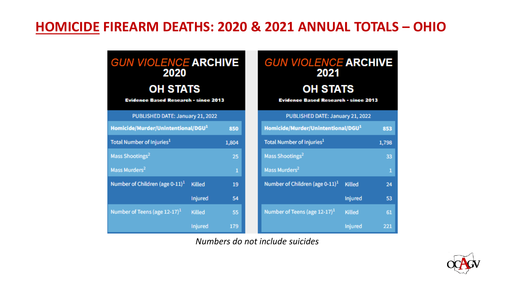### **HOMICIDE FIREARM DEATHS: 2020 & 2021 ANNUAL TOTALS – OHIO**

| <b>GUN VIOLENCE ARCHIVE</b><br>2020<br><b>OH STATS</b><br><b>Evidence Based Research - since 2013</b> |               |       | <b>GUN VIOLENCE ARCHIVE</b><br>2021<br><b>OH STATS</b><br><b>Evidence Based Research - since 2013</b> |                |       |
|-------------------------------------------------------------------------------------------------------|---------------|-------|-------------------------------------------------------------------------------------------------------|----------------|-------|
| PUBLISHED DATE: January 21, 2022                                                                      |               |       | PUBLISHED DATE: January 21, 2022                                                                      |                |       |
| Homicide/Murder/Unintentional/DGU <sup>1</sup>                                                        |               | 850   | Homicide/Murder/Unintentional/DGU <sup>1</sup>                                                        |                | 853   |
| Total Number of Injuries <sup>1</sup>                                                                 |               | 1,804 | Total Number of Injuries <sup>1</sup>                                                                 |                | 1,798 |
| Mass Shootings <sup>2</sup>                                                                           |               | 25    | Mass Shootings <sup>2</sup>                                                                           |                | 33    |
| Mass Murders <sup>2</sup>                                                                             |               | 1     | Mass Murders <sup>2</sup>                                                                             |                | 1     |
| Number of Children (age $0-11$ ) <sup>1</sup>                                                         | <b>Killed</b> | 19    | Number of Children (age $0-11$ ) <sup>1</sup>                                                         | Killed         | 24    |
|                                                                                                       | Injured       | 54    |                                                                                                       | <b>Injured</b> | 53    |
| Number of Teens (age $12-17$ ) <sup>1</sup>                                                           | <b>Killed</b> | 55    | Number of Teens (age $12-17$ ) <sup>1</sup>                                                           | Killed         | 61    |
|                                                                                                       | Injured       | 179   |                                                                                                       | Injured        | 221   |

*Numbers do not include suicides*

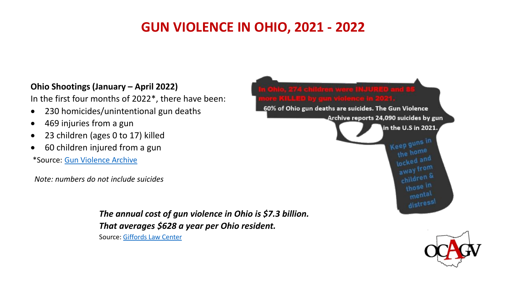# **GUN VIOLENCE IN OHIO, 2021 - 2022**

#### **Ohio Shootings (January – April 2022)**

In the first four months of 2022\*, there have been:

- 230 homicides/unintentional gun deaths
- 469 injuries from a gun
- 23 children (ages 0 to 17) killed
- 60 children injured from a gun

\*Source: [Gun Violence Archive](https://www.gunviolencearchive.org/congress/oh)

*Note: numbers do not include suicides*

*The annual cost of gun violence in Ohio is \$7.3 billion. That averages \$628 a year per Ohio resident.* Source: [Giffords Law Center](https://giffords.org/lawcenter/gun-violence-statistics/)



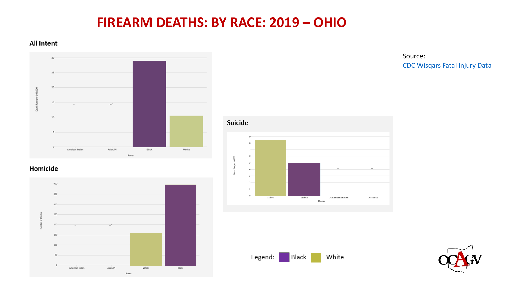### **FIREARM DEATHS: BY RACE: 2019 – OHIO**

#### **All Intent**



#### Homicide



Source: CDC Wisqars [Fatal Injury Data](https://wisqars-viz.cdc.gov:8006/explore-data/explore/selected-years?)





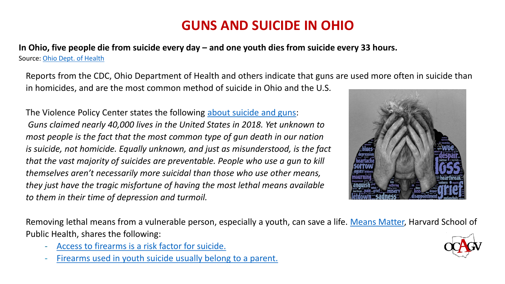# **GUNS AND SUICIDE IN OHIO**

**In Ohio, five people die from suicide every day – and one youth dies from suicide every 33 hours.**  Source: [Ohio Dept. of Health](https://r.search.yahoo.com/_ylt=AwrE1x7QpO1hso0AfVBXNyoA;_ylu=Y29sbwNiZjEEcG9zAzIEdnRpZAMEc2VjA3Ny/RV=2/RE=1642992976/RO=10/RU=https%3a%2f%2fodh.ohio.gov%2fwps%2fwcm%2fconnect%2fgov%2fb9f06188-5026-4695-ae03-06226dc49f22%2fODH%2bNews%2bRelease%2b--%2bOhio%2bSuicide%2bDemographics%2b%2bTrends%2bReport.pdf%3fMOD%3dAJPERES%26CACHEID%3dROOTWORKSPACE.Z18_M1HGGIK0N0JO00QO9DDDDM3000-b9f06188-5026-4695-ae03-06226dc49f22-mVCCixj/RK=2/RS=rmQ_zhDg101dvmH5NpDb8ZUM6D4-)

Reports from the CDC, Ohio Department of Health and others indicate that guns are used more often in suicide than in homicides, and are the most common method of suicide in Ohio and the U.S.

The Violence Policy Center states the following [about suicide and guns:](https://vpc.org/wp-content/uploads/2020/06/suicide-factsheet-2020.pdf) *Guns claimed nearly 40,000 lives in the United States in 2018. Yet unknown to most people is the fact that the most common type of gun death in our nation is suicide, not homicide. Equally unknown, and just as misunderstood, is the fact that the vast majority of suicides are preventable. People who use a gun to kill themselves aren't necessarily more suicidal than those who use other means, they just have the tragic misfortune of having the most lethal means available to them in their time of depression and turmoil.*



Removing lethal means from a vulnerable person, especially a youth, can save a life. [Means Matter,](http://www.hsph.harvard.edu/means-matter) Harvard School of Public Health, shares the following:

- [Access to firearms is a risk factor for suicide.](https://www.hsph.harvard.edu/means-matter/means-matter/risk)
- [Firearms used in youth suicide usually belong to a parent.](https://www.hsph.harvard.edu/means-matter/means-matter/youth-access)

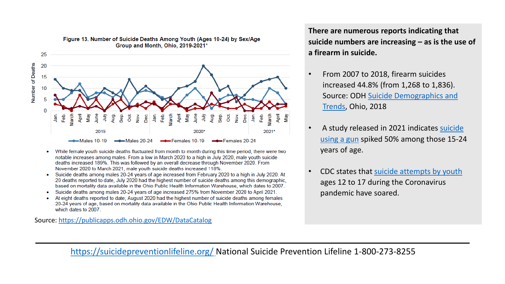

#### Figure 13. Number of Suicide Deaths Among Youth (Ages 10-24) by Sex/Age Group and Month, Ohio, 2019-2021\*

- While female youth suicide deaths fluctuated from month to month during this time period, there were two notable increases among males. From a low in March 2020 to a high in July 2020, male youth suicide deaths increased 189%. This was followed by an overall decrease through November 2020. From November 2020 to March 2021, male youth suicide deaths increased 118%.
- Suicide deaths among males 20-24 years of age increased from February 2020 to a high in July 2020. At 20 deaths reported to date, July 2020 had the highest number of suicide deaths among this demographic. based on mortality data available in the Ohio Public Health Information Warehouse, which dates to 2007.
- Suicide deaths among males 20-24 years of age increased 275% from November 2020 to April 2021.
- At eight deaths reported to date, August 2020 had the highest number of suicide deaths among females 20-24 years of age, based on mortality data available in the Ohio Public Health Information Warehouse, which dates to 2007.

Source:<https://publicapps.odh.ohio.gov/EDW/DataCatalog>

**There are numerous reports indicating that suicide numbers are increasing – as is the use of a firearm in suicide.** 

- From 2007 to 2018, firearm suicides increased 44.8% (from 1,268 to 1,836). [Source: ODH Suicide Demographics and](https://www.google.com/url?sa=t&rct=j&q=&esrc=s&source=web&cd=&ved=2ahUKEwij0saB_Mr1AhX6FTQIHYqXD8oQFnoECAMQAQ&url=https%3A%2F%2Fodh.ohio.gov%2Fwps%2Fwcm%2Fconnect%2Fgov%2Ffef3e5ee-b4c6-4e2e-a0b1-40c68e123f9f%2F2018_Suicide_Fact_Sheet.pdf%3FMOD%3DAJPERES%26CONVERT_TO%3Durl%26CACHEID%3DROOTWORKSPACE.Z18_M1HGGIK0N0JO00QO9DDDDM3000-fef3e5ee-b4c6-4e2e-a0b1-40c68e123f9f-mVCbMqs&usg=AOvVaw0RDGnUPVgLsrMXjkIifz2h)  Trends, Ohio, 2018
- [A study released in 2021 indicates suicide](https://www.webmd.com/children/news/20210614/gun-suicides-are-rising-sharply-among-american-youth)  using a gun spiked 50% among those 15-24 years of age.
- CDC states that [suicide attempts by youth](https://www.nbcnews.com/news/us-news/youth-suicide-attempts-soared-during-pandemic-cdc-report-says-n1270463)  ages 12 to 17 during the Coronavirus pandemic have soared.

<https://suicidepreventionlifeline.org/> National Suicide Prevention Lifeline 1-800-273-8255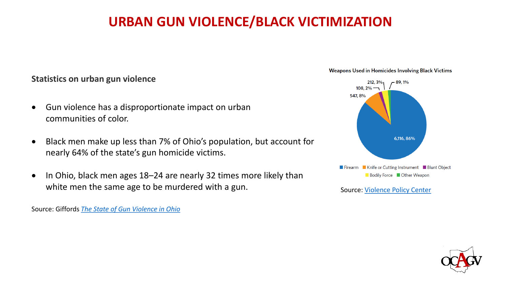# **URBAN GUN VIOLENCE/BLACK VICTIMIZATION**

#### **Statistics on urban gun violence**

- Gun violence has a disproportionate impact on urban communities of color.
- Black men make up less than 7% of Ohio's population, but account for nearly 64% of the state's gun homicide victims.
- In Ohio, black men ages 18–24 are nearly 32 times more likely than white men the same age to be murdered with a gun.

Source: Giffords *[The State of Gun Violence in Ohio](https://giffords.org/wp-content/uploads/2020/01/Giffords-Law-Center-State-of-Gun-Violence-in-Ohio-2020.pdf)*





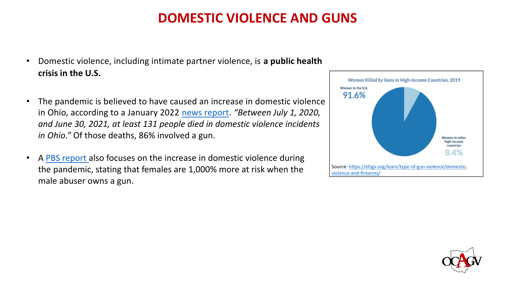### **DOMESTIC VIOLENCE AND GUNS**

- Domestic violence, including intimate partner violence, is **a public health crisis in the U.S.**
- The pandemic is believed to have caused an increase in domestic violence in Ohio, according to a January 2022 [news report](https://www.cleveland19.com/2022/01/21/domestic-violence-cases-rise-ohio-experts-believe-states-gun-laws-blame/). *"Between July 1, 2020, and June 30, 2021, at least 131 people died in domestic violence incidents in Ohio."* Of those deaths, 86% involved a gun.
- A [PBS report a](https://www.pbs.org/newshour/health/domestic-violence-shelters-are-swamped-experts-worry-surging-gun-sales-could-make-things-worse)lso focuses on the increase in domestic violence during the pandemic, stating that females are 1,000% more at risk when the male abuser owns a gun.



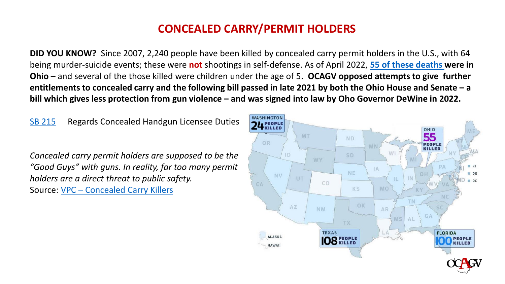#### **CONCEALED CARRY/PERMIT HOLDERS**

**DID YOU KNOW?** Since 2007, 2,240 people have been killed by concealed carry permit holders in the U.S., with 64 being murder-suicide events; these were **not** shootings in self-defense. As of April 2022, **[55 of these deaths](https://concealedcarrykillers.org/ohio/) were in Ohio** – and several of the those killed were children under the age of 5**. OCAGV opposed attempts to give further entitlements to concealed carry and the following bill passed in late 2021 by both the Ohio House and Senate – a bill which gives less protection from gun violence – and was signed into law by Oho Governor DeWine in 2022.**

[SB 215](https://www.legislature.ohio.gov/legislation/legislation-summary?id=GA134-SB-215) Regards Concealed Handgun Licensee Duties

*Concealed carry permit holders are supposed to be the "Good Guys" with guns. In reality, far too many permit holders are a direct threat to public safety.* Source: VPC – [Concealed Carry Killers](https://concealedcarrykillers.org/)